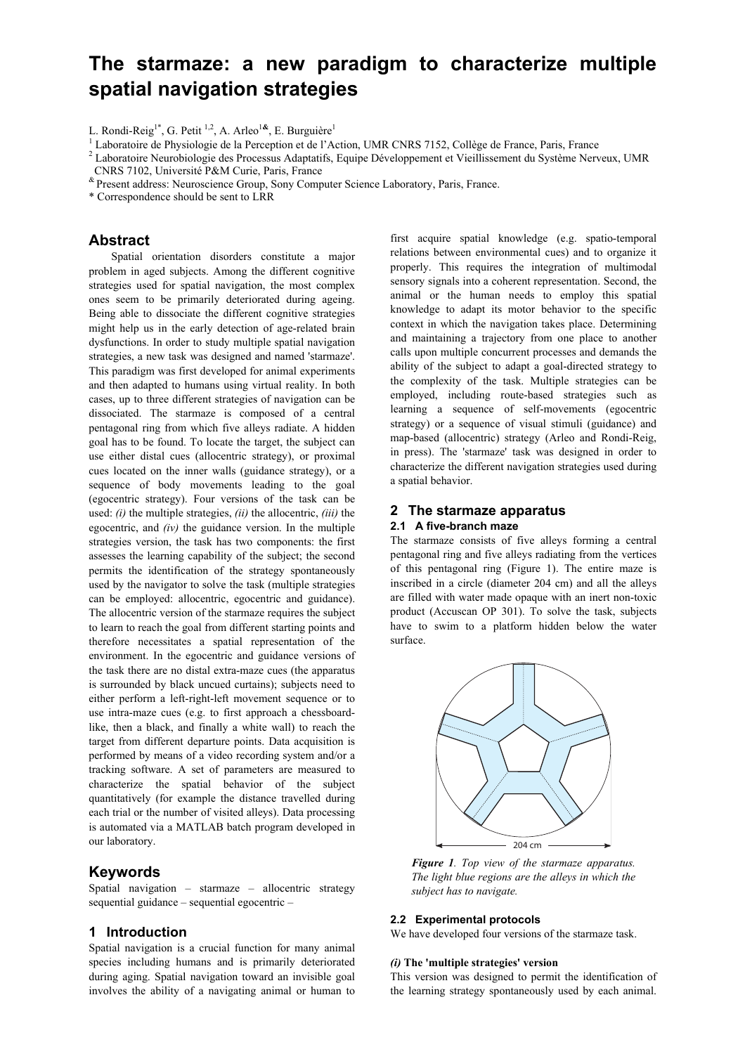# **The starmaze: a new paradigm to characterize multiple spatial navigation strategies**

<sup>1</sup> Laboratoire de Physiologie de la Perception et de l'Action, UMR CNRS 7152, Collège de France, Paris, France<br><sup>2</sup> Leboratoire Nouvehislagie des Processus Adoptatifs, Faujne Développement et Visillissement du Système Noru

- Laboratoire Neurobiologie des Processus Adaptatifs, Equipe Développement et Vieillissement du Système Nerveux, UMR CNRS 7102, Université P&M Curie, Paris, France
- & Present address: Neuroscience Group, Sony Computer Science Laboratory, Paris, France.
- \* Correspondence should be sent to LRR

## **Abstract**

Spatial orientation disorders constitute a major problem in aged subjects. Among the different cognitive strategies used for spatial navigation, the most complex ones seem to be primarily deteriorated during ageing. Being able to dissociate the different cognitive strategies might help us in the early detection of age-related brain dysfunctions. In order to study multiple spatial navigation strategies, a new task was designed and named 'starmaze'. This paradigm was first developed for animal experiments and then adapted to humans using virtual reality. In both cases, up to three different strategies of navigation can be dissociated. The starmaze is composed of a central pentagonal ring from which five alleys radiate. A hidden goal has to be found. To locate the target, the subject can use either distal cues (allocentric strategy), or proximal cues located on the inner walls (guidance strategy), or a sequence of body movements leading to the goal (egocentric strategy). Four versions of the task can be used: *(i)* the multiple strategies, *(ii)* the allocentric, *(iii)* the egocentric, and *(iv)* the guidance version. In the multiple strategies version, the task has two components: the first assesses the learning capability of the subject; the second permits the identification of the strategy spontaneously used by the navigator to solve the task (multiple strategies can be employed: allocentric, egocentric and guidance). The allocentric version of the starmaze requires the subject to learn to reach the goal from different starting points and therefore necessitates a spatial representation of the environment. In the egocentric and guidance versions of the task there are no distal extra-maze cues (the apparatus is surrounded by black uncued curtains); subjects need to either perform a left-right-left movement sequence or to use intra-maze cues (e.g. to first approach a chessboardlike, then a black, and finally a white wall) to reach the target from different departure points. Data acquisition is performed by means of a video recording system and/or a tracking software. A set of parameters are measured to characterize the spatial behavior of the subject quantitatively (for example the distance travelled during each trial or the number of visited alleys). Data processing is automated via a MATLAB batch program developed in our laboratory.

## **Keywords**

Spatial navigation – starmaze – allocentric strategy sequential guidance – sequential egocentric –

## **1 Introduction**

Spatial navigation is a crucial function for many animal species including humans and is primarily deteriorated during aging. Spatial navigation toward an invisible goal involves the ability of a navigating animal or human to first acquire spatial knowledge (e.g. spatio-temporal relations between environmental cues) and to organize it properly. This requires the integration of multimodal sensory signals into a coherent representation. Second, the animal or the human needs to employ this spatial knowledge to adapt its motor behavior to the specific context in which the navigation takes place. Determining and maintaining a trajectory from one place to another calls upon multiple concurrent processes and demands the ability of the subject to adapt a goal-directed strategy to the complexity of the task. Multiple strategies can be employed, including route-based strategies such as learning a sequence of self-movements (egocentric strategy) or a sequence of visual stimuli (guidance) and map-based (allocentric) strategy (Arleo and Rondi-Reig, in press). The 'starmaze' task was designed in order to characterize the different navigation strategies used during a spatial behavior.

### **2 The starmaze apparatus**

#### **2.1 A five-branch maze**

The starmaze consists of five alleys forming a central pentagonal ring and five alleys radiating from the vertices of this pentagonal ring (Figure 1). The entire maze is inscribed in a circle (diameter 204 cm) and all the alleys are filled with water made opaque with an inert non-toxic product (Accuscan OP 301). To solve the task, subjects have to swim to a platform hidden below the water surface.



*Figure 1. Top view of the starmaze apparatus. The light blue regions are the alleys in which the subject has to navigate.* 

#### **2.2 Experimental protocols**

We have developed four versions of the starmaze task.

#### *(i)* **The 'multiple strategies' version**

This version was designed to permit the identification of the learning strategy spontaneously used by each animal.

L. Rondi-Reig1\*, G. Petit 1,2, A. Arleo1**&**, E. Burguière1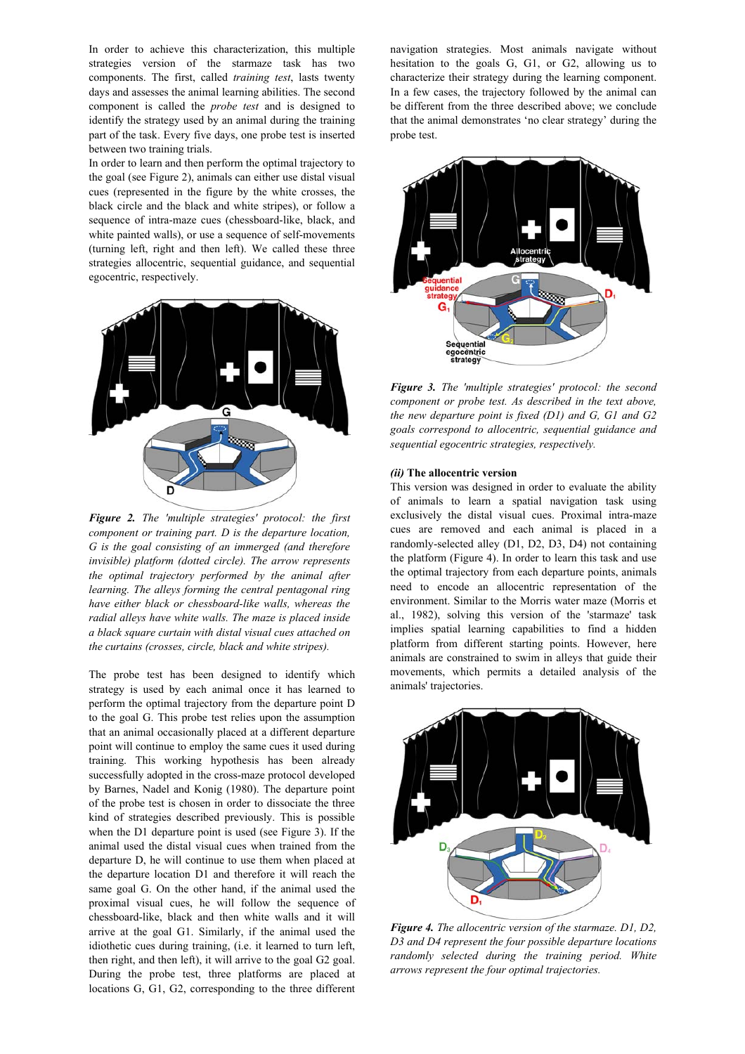In order to achieve this characterization, this multiple strategies version of the starmaze task has two components. The first, called *training test*, lasts twenty days and assesses the animal learning abilities. The second component is called the *probe test* and is designed to identify the strategy used by an animal during the training part of the task. Every five days, one probe test is inserted between two training trials.

In order to learn and then perform the optimal trajectory to the goal (see Figure 2), animals can either use distal visual cues (represented in the figure by the white crosses, the black circle and the black and white stripes), or follow a sequence of intra-maze cues (chessboard-like, black, and white painted walls), or use a sequence of self-movements (turning left, right and then left). We called these three strategies allocentric, sequential guidance, and sequential egocentric, respectively.



*Figure 2. The 'multiple strategies' protocol: the first component or training part. D is the departure location, G is the goal consisting of an immerged (and therefore invisible) platform (dotted circle). The arrow represents the optimal trajectory performed by the animal after learning. The alleys forming the central pentagonal ring have either black or chessboard-like walls, whereas the radial alleys have white walls. The maze is placed inside a black square curtain with distal visual cues attached on the curtains (crosses, circle, black and white stripes).* 

The probe test has been designed to identify which strategy is used by each animal once it has learned to perform the optimal trajectory from the departure point D to the goal G. This probe test relies upon the assumption that an animal occasionally placed at a different departure point will continue to employ the same cues it used during training. This working hypothesis has been already successfully adopted in the cross-maze protocol developed by Barnes, Nadel and Konig (1980). The departure point of the probe test is chosen in order to dissociate the three kind of strategies described previously. This is possible when the D1 departure point is used (see Figure 3). If the animal used the distal visual cues when trained from the departure D, he will continue to use them when placed at the departure location D1 and therefore it will reach the same goal G. On the other hand, if the animal used the proximal visual cues, he will follow the sequence of chessboard-like, black and then white walls and it will arrive at the goal G1. Similarly, if the animal used the idiothetic cues during training, (i.e. it learned to turn left, then right, and then left), it will arrive to the goal G2 goal. During the probe test, three platforms are placed at locations G, G1, G2, corresponding to the three different navigation strategies. Most animals navigate without hesitation to the goals G, G1, or G2, allowing us to characterize their strategy during the learning component. In a few cases, the trajectory followed by the animal can be different from the three described above; we conclude that the animal demonstrates 'no clear strategy' during the probe test.



*Figure 3. The 'multiple strategies' protocol: the second component or probe test. As described in the text above, the new departure point is fixed (D1) and G, G1 and G2 goals correspond to allocentric, sequential guidance and sequential egocentric strategies, respectively.* 

#### *(ii)* **The allocentric version**

This version was designed in order to evaluate the ability of animals to learn a spatial navigation task using exclusively the distal visual cues. Proximal intra-maze cues are removed and each animal is placed in a randomly-selected alley (D1, D2, D3, D4) not containing the platform (Figure 4). In order to learn this task and use the optimal trajectory from each departure points, animals need to encode an allocentric representation of the environment. Similar to the Morris water maze (Morris et al., 1982), solving this version of the 'starmaze' task implies spatial learning capabilities to find a hidden platform from different starting points. However, here animals are constrained to swim in alleys that guide their movements, which permits a detailed analysis of the animals' trajectories.



*Figure 4. The allocentric version of the starmaze. D1, D2, D3 and D4 represent the four possible departure locations randomly selected during the training period. White arrows represent the four optimal trajectories.*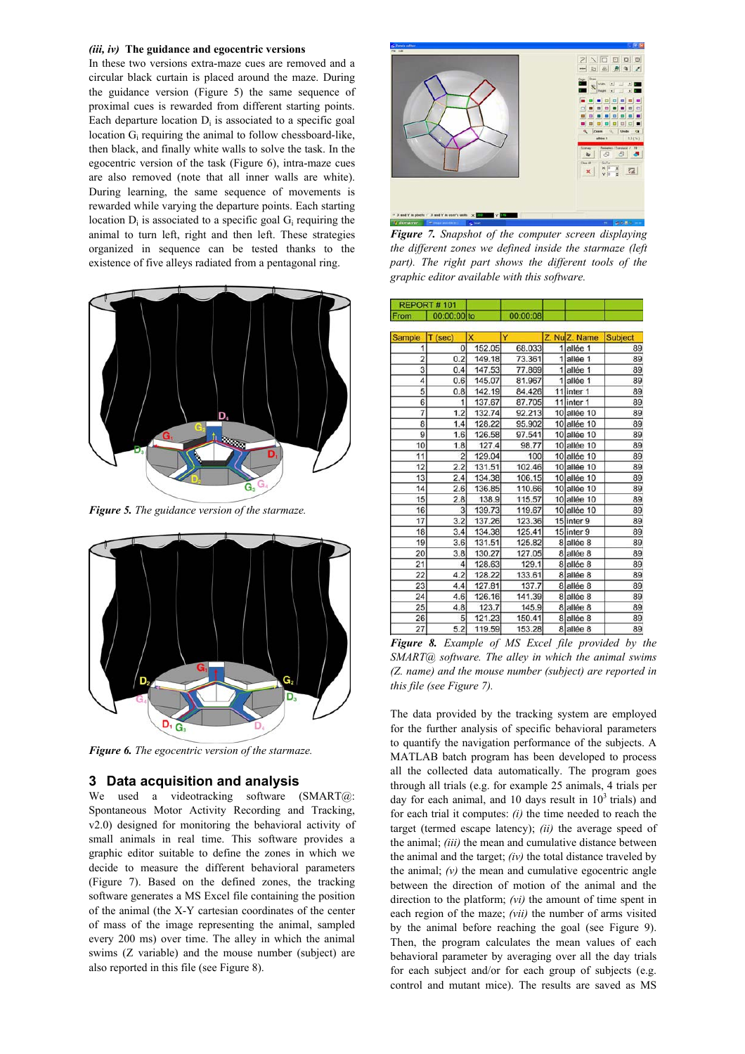#### *(iii, iv)* **The guidance and egocentric versions**

In these two versions extra-maze cues are removed and a circular black curtain is placed around the maze. During the guidance version (Figure 5) the same sequence of proximal cues is rewarded from different starting points. Each departure location  $D_i$  is associated to a specific goal location Gi requiring the animal to follow chessboard-like, then black, and finally white walls to solve the task. In the egocentric version of the task (Figure 6), intra-maze cues are also removed (note that all inner walls are white). During learning, the same sequence of movements is rewarded while varying the departure points. Each starting location  $D_i$  is associated to a specific goal  $G_i$  requiring the animal to turn left, right and then left. These strategies organized in sequence can be tested thanks to the existence of five alleys radiated from a pentagonal ring.



*Figure 5. The guidance version of the starmaze.* 



*Figure 6. The egocentric version of the starmaze.* 

## **3 Data acquisition and analysis**

We used a videotracking software (SMART@: Spontaneous Motor Activity Recording and Tracking, v2.0) designed for monitoring the behavioral activity of small animals in real time. This software provides a graphic editor suitable to define the zones in which we decide to measure the different behavioral parameters (Figure 7). Based on the defined zones, the tracking software generates a MS Excel file containing the position of the animal (the X-Y cartesian coordinates of the center of mass of the image representing the animal, sampled every 200 ms) over time. The alley in which the animal swims (Z variable) and the mouse number (subject) are also reported in this file (see Figure 8).



*Figure 7. Snapshot of the computer screen displaying the different zones we defined inside the starmaze (left part). The right part shows the different tools of the graphic editor available with this software.*

| REPORT#101     |                |        |                 |               |                |
|----------------|----------------|--------|-----------------|---------------|----------------|
| From           | 00:00:00 to    |        | 00:00:08        |               |                |
| Sample         | $T$ (sec)      | x      | Y               | Z. Nu Z. Name | <b>Subject</b> |
| 1              | 0              | 152.05 | 68.033          | 1 allée 1     | 89             |
| $\overline{c}$ | 0.2            | 149.18 | 73.361          | 1 allée 1     | 89             |
| 3              | 0.4            | 147.53 | 77.869          | 1 allée 1     | 89             |
| $\overline{4}$ | 0.6            | 145.07 | 81.967          | 1 allée 1     | 89             |
| 5              | 0.8            | 142.19 | 84.426          | 11 inter 1    | 89             |
| 6              | 1              | 137.67 | 87.705          | 11 inter 1    | 89             |
| $\overline{7}$ | 1.2            | 132.74 | 92.213          | 10 allée 10   | 89             |
| 8              | 1.4            | 128.22 | 95.902          | 10 allée 10   | 89             |
| 9              |                |        |                 |               | 89             |
|                | 1.6            | 126.58 | 97.541<br>98.77 | 10 allée 10   |                |
| 10             | 1.8            | 127.4  |                 | 10 allée 10   | 89             |
| 11             | $\overline{c}$ | 129.04 | 100             | 10 allée 10   | 89             |
| 12             | 2.2            | 131.51 | 102.46          | 10 allée 10   | 89             |
| 13             | 2.4            | 134.38 | 106.15          | 10 allée 10   | 89             |
| 14             | 2.6            | 136.85 | 110.66          | 10 allée 10   | 89             |
| 15             | 2.8            | 138.9  | 115.57          | 10 allée 10   | 89             |
| 16             | 3              | 139.73 | 119.67          | 10 allée 10   | 89             |
| 17             | 3.2            | 137.26 | 123.36          | 15 inter 9    | 89             |
| 18             | 3.4            | 134.38 | 125.41          | 15 inter 9    | 89             |
| 19             | 3.6            | 131.51 | 125.82          | 8 allée 8     | 89             |
| 20             | 3.8            | 130.27 | 127.05          | 8 allée 8     | 89             |
| 21             | 4              | 128.63 | 129.1           | 8 allée 8     | 89             |
| 22             | 4.2            | 128.22 | 133.61          | 8 allée 8     | 89             |
| 23             | 4.4            | 127.81 | 137.7           | 8 allée 8     | 89             |
| 24             | 4.6            | 126.16 | 141.39          | 8 allée 8     | 89             |
| 25             | 4.8            | 123.7  | 145.9           | 8 allée 8     | 89             |
| 26             | 5              | 121.23 | 150.41          | 8 allée 8     | 89             |
| 27             | 5.2            | 119.59 | 153.28          | 8 allée 8     | 89             |
|                |                |        |                 |               |                |

*Figure 8. Example of MS Excel file provided by the SMART@ software. The alley in which the animal swims (Z. name) and the mouse number (subject) are reported in this file (see Figure 7).* 

The data provided by the tracking system are employed for the further analysis of specific behavioral parameters to quantify the navigation performance of the subjects. A MATLAB batch program has been developed to process all the collected data automatically. The program goes through all trials (e.g. for example 25 animals, 4 trials per day for each animal, and 10 days result in  $10<sup>3</sup>$  trials) and for each trial it computes: *(i)* the time needed to reach the target (termed escape latency); *(ii)* the average speed of the animal; *(iii)* the mean and cumulative distance between the animal and the target; *(iv)* the total distance traveled by the animal;  $(v)$  the mean and cumulative egocentric angle between the direction of motion of the animal and the direction to the platform; *(vi)* the amount of time spent in each region of the maze; *(vii)* the number of arms visited by the animal before reaching the goal (see Figure 9). Then, the program calculates the mean values of each behavioral parameter by averaging over all the day trials for each subject and/or for each group of subjects (e.g. control and mutant mice). The results are saved as MS